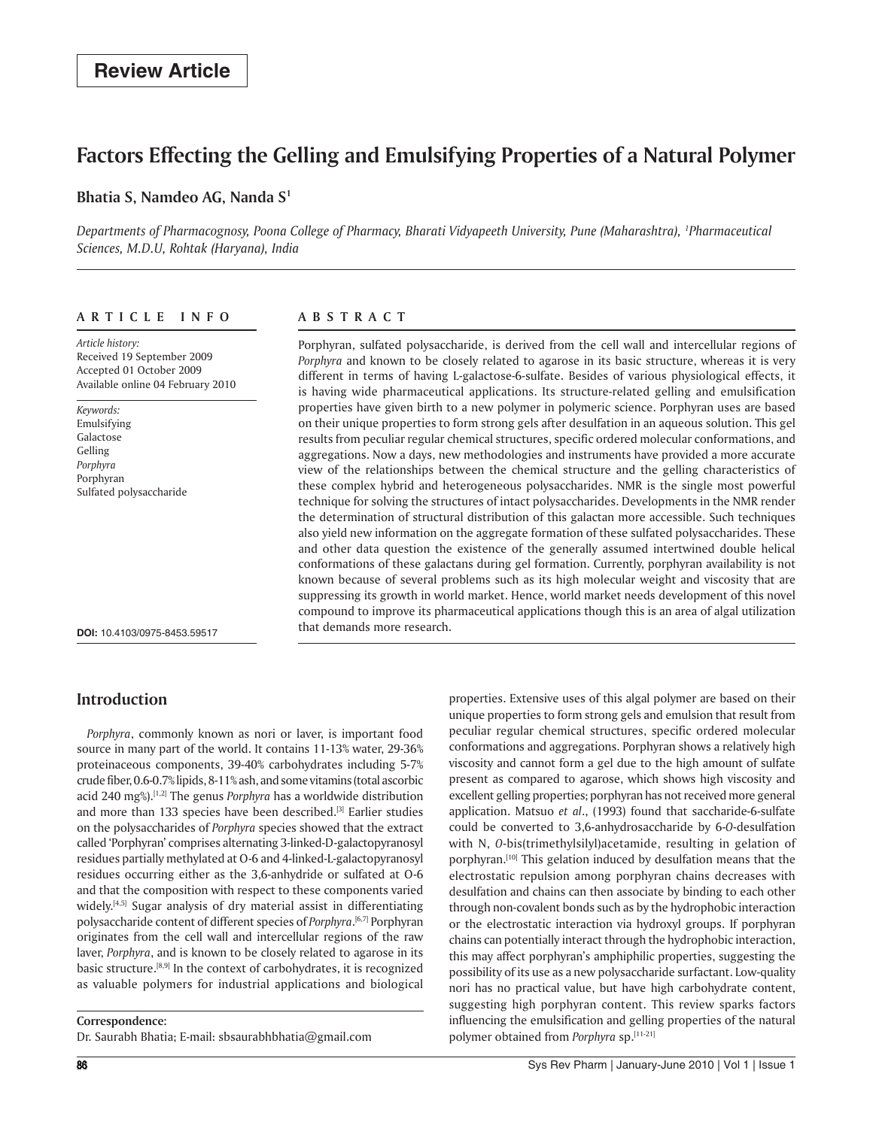# **Factors Effecting the Gelling and Emulsifying Properties of a Natural Polymer**

#### **Bhatia S, Namdeo AG, Nanda S1**

*Departments of Pharmacognosy, Poona College of Pharmacy, Bharati Vidyapeeth University, Pune (Maharashtra), 1 Pharmaceutical Sciences, M.D.U, Rohtak (Haryana), India*

#### **A R T I C L E I N F O**

*Article history:* Received 19 September 2009 Accepted 01 October 2009 Available online 04 February 2010

*Keywords:* Emulsifying Galactose Gelling *Porphyra* Porphyran Sulfated polysaccharide

**DOI:** 10.4103/0975-8453.59517

#### **A B S T R A C T**

Porphyran, sulfated polysaccharide, is derived from the cell wall and intercellular regions of *Porphyra* and known to be closely related to agarose in its basic structure, whereas it is very different in terms of having L-galactose-6-sulfate. Besides of various physiological effects, it is having wide pharmaceutical applications. Its structure-related gelling and emulsification properties have given birth to a new polymer in polymeric science. Porphyran uses are based on their unique properties to form strong gels after desulfation in an aqueous solution. This gel results from peculiar regular chemical structures, specific ordered molecular conformations, and aggregations. Now a days, new methodologies and instruments have provided a more accurate view of the relationships between the chemical structure and the gelling characteristics of these complex hybrid and heterogeneous polysaccharides. NMR is the single most powerful technique for solving the structures of intact polysaccharides. Developments in the NMR render the determination of structural distribution of this galactan more accessible. Such techniques also yield new information on the aggregate formation of these sulfated polysaccharides. These and other data question the existence of the generally assumed intertwined double helical conformations of these galactans during gel formation. Currently, porphyran availability is not known because of several problems such as its high molecular weight and viscosity that are suppressing its growth in world market. Hence, world market needs development of this novel compound to improve its pharmaceutical applications though this is an area of algal utilization that demands more research.

# **Introduction**

*Porphyra*, commonly known as nori or laver, is important food source in many part of the world. It contains 11-13% water, 29-36% proteinaceous components, 39-40% carbohydrates including 5-7% crude fiber, 0.6-0.7% lipids, 8-11% ash, and some vitamins (total ascorbic acid 240 mg%).[1,2] The genus *Porphyra* has a worldwide distribution and more than 133 species have been described.<sup>[3]</sup> Earlier studies on the polysaccharides of *Porphyra* species showed that the extract called 'Porphyran' comprises alternating 3-linked-D-galactopyranosyl residues partially methylated at O-6 and 4-linked-L-galactopyranosyl residues occurring either as the 3,6-anhydride or sulfated at O-6 and that the composition with respect to these components varied widely.<sup>[4,5]</sup> Sugar analysis of dry material assist in differentiating polysaccharide content of different species of *Porphyra*. [6,7] Porphyran originates from the cell wall and intercellular regions of the raw laver, *Porphyra*, and is known to be closely related to agarose in its basic structure.[8,9] In the context of carbohydrates, it is recognized as valuable polymers for industrial applications and biological

**Correspondence:**

Dr. Saurabh Bhatia; E-mail: sbsaurabhbhatia@gmail.com

properties. Extensive uses of this algal polymer are based on their unique properties to form strong gels and emulsion that result from peculiar regular chemical structures, specific ordered molecular conformations and aggregations. Porphyran shows a relatively high viscosity and cannot form a gel due to the high amount of sulfate present as compared to agarose, which shows high viscosity and excellent gelling properties; porphyran has not received more general application. Matsuo *et al*., (1993) found that saccharide-6-sulfate could be converted to 3,6-anhydrosaccharide by 6-*O*-desulfation with N, *O*-bis(trimethylsilyl)acetamide, resulting in gelation of porphyran.<sup>[10]</sup> This gelation induced by desulfation means that the electrostatic repulsion among porphyran chains decreases with desulfation and chains can then associate by binding to each other through non-covalent bonds such as by the hydrophobic interaction or the electrostatic interaction via hydroxyl groups. If porphyran chains can potentially interact through the hydrophobic interaction, this may affect porphyran's amphiphilic properties, suggesting the possibility of its use as a new polysaccharide surfactant. Low-quality nori has no practical value, but have high carbohydrate content, suggesting high porphyran content. This review sparks factors influencing the emulsification and gelling properties of the natural polymer obtained from *Porphyra* sp.[11-21]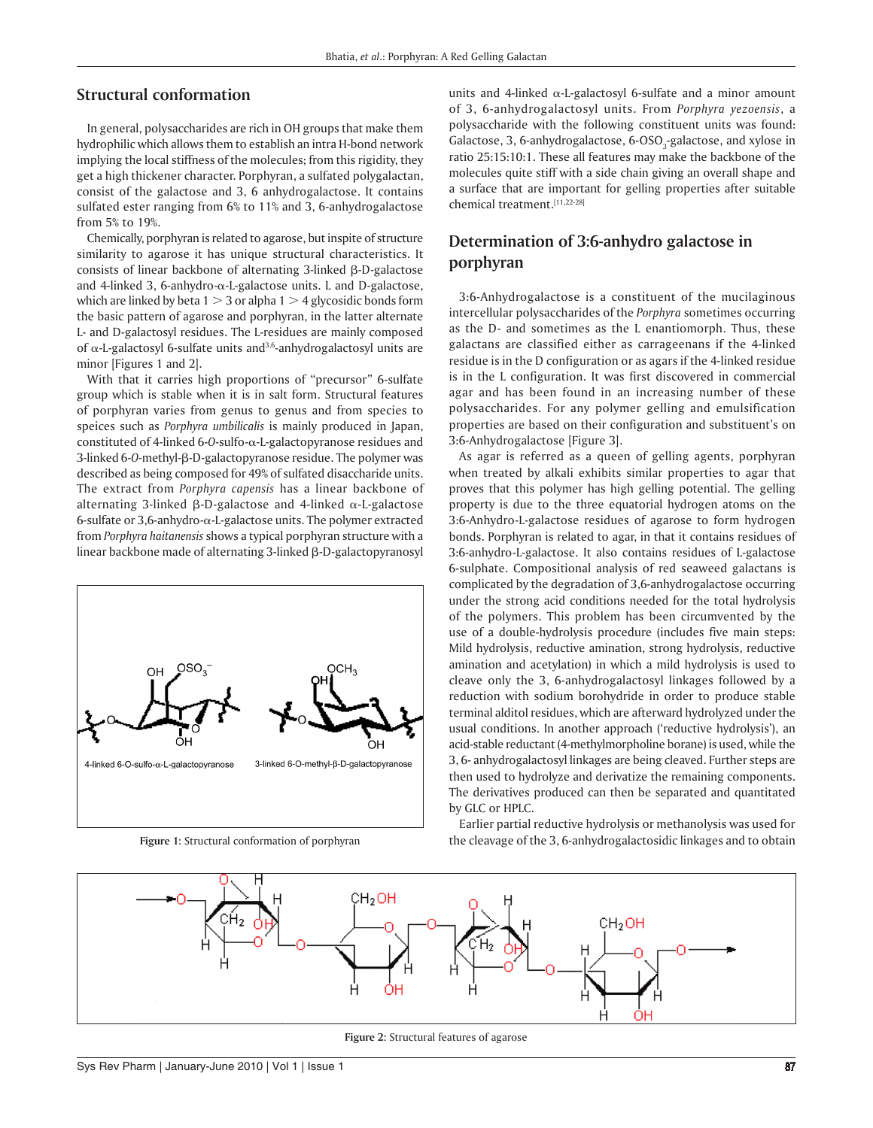# **Structural conformation**

In general, polysaccharides are rich in OH groups that make them hydrophilic which allows them to establish an intra H-bond network implying the local stiffness of the molecules; from this rigidity, they get a high thickener character. Porphyran, a sulfated polygalactan, consist of the galactose and 3, 6 anhydrogalactose. It contains sulfated ester ranging from 6% to 11% and 3, 6-anhydrogalactose from 5% to 19%.

Chemically, porphyran is related to agarose, but inspite of structure similarity to agarose it has unique structural characteristics. It consists of linear backbone of alternating 3-linked  $\beta$ -D-galactose and 4-linked 3, 6-anhydro- $\alpha$ -L-galactose units. L and D-galactose, which are linked by beta  $1 > 3$  or alpha  $1 > 4$  glycosidic bonds form the basic pattern of agarose and porphyran, in the latter alternate L- and D-galactosyl residues. The L-residues are mainly composed of  $\alpha$ -L-galactosyl 6-sulfate units and<sup>3,6</sup>-anhydrogalactosyl units are minor [Figures 1 and 2].

With that it carries high proportions of "precursor" 6-sulfate group which is stable when it is in salt form. Structural features of porphyran varies from genus to genus and from species to speices such as *Porphyra umbilicalis* is mainly produced in Japan, constituted of 4-linked 6-*O*-sulfo-a-L-galactopyranose residues and 3-linked 6-*0*-methyl-β-D-galactopyranose residue. The polymer was described as being composed for 49% of sulfated disaccharide units. The extract from *Porphyra capensis* has a linear backbone of alternating 3-linked  $\beta$ -D-galactose and 4-linked  $\alpha$ -L-galactose 6-sulfate or 3,6-anhydro-a-L-galactose units. The polymer extracted from *Porphyra haitanensis* shows a typical porphyran structure with a linear backbone made of alternating 3-linked  $\beta$ -D-galactopyranosyl



units and 4-linked  $\alpha$ -L-galactosyl 6-sulfate and a minor amount of 3, 6-anhydrogalactosyl units. From *Porphyra yezoensis*, a polysaccharide with the following constituent units was found: Galactose, 3, 6-anhydrogalactose,  $6$ -OSO<sub>3</sub>-galactose, and xylose in ratio 25:15:10:1. These all features may make the backbone of the molecules quite stiff with a side chain giving an overall shape and a surface that are important for gelling properties after suitable chemical treatment.[11,22-28]

# **Determination of 3:6-anhydro galactose in porphyran**

3:6-Anhydrogalactose is a constituent of the mucilaginous intercellular polysaccharides of the *Porphyra* sometimes occurring as the D- and sometimes as the L enantiomorph. Thus, these galactans are classified either as carrageenans if the 4-linked residue is in the D configuration or as agars if the 4-linked residue is in the L configuration. It was first discovered in commercial agar and has been found in an increasing number of these polysaccharides. For any polymer gelling and emulsification properties are based on their configuration and substituent's on 3:6-Anhydrogalactose [Figure 3].

As agar is referred as a queen of gelling agents, porphyran when treated by alkali exhibits similar properties to agar that proves that this polymer has high gelling potential. The gelling property is due to the three equatorial hydrogen atoms on the 3:6-Anhydro-L-galactose residues of agarose to form hydrogen bonds. Porphyran is related to agar, in that it contains residues of 3:6-anhydro-L-galactose. It also contains residues of L-galactose 6-sulphate. Compositional analysis of red seaweed galactans is complicated by the degradation of 3,6-anhydrogalactose occurring under the strong acid conditions needed for the total hydrolysis of the polymers. This problem has been circumvented by the use of a double-hydrolysis procedure (includes five main steps: Mild hydrolysis, reductive amination, strong hydrolysis, reductive amination and acetylation) in which a mild hydrolysis is used to cleave only the 3, 6-anhydrogalactosyl linkages followed by a reduction with sodium borohydride in order to produce stable terminal alditol residues, which are afterward hydrolyzed under the usual conditions. In another approach ('reductive hydrolysis'), an acid-stable reductant (4-methylmorpholine borane) is used, while the 3, 6- anhydrogalactosyl linkages are being cleaved. Further steps are then used to hydrolyze and derivatize the remaining components. The derivatives produced can then be separated and quantitated by GLC or HPLC.

Earlier partial reductive hydrolysis or methanolysis was used for **Figure 1:** Structural conformation of porphyran the cleavage of the 3, 6-anhydrogalactosidic linkages and to obtain



**Figure 2:** Structural features of agarose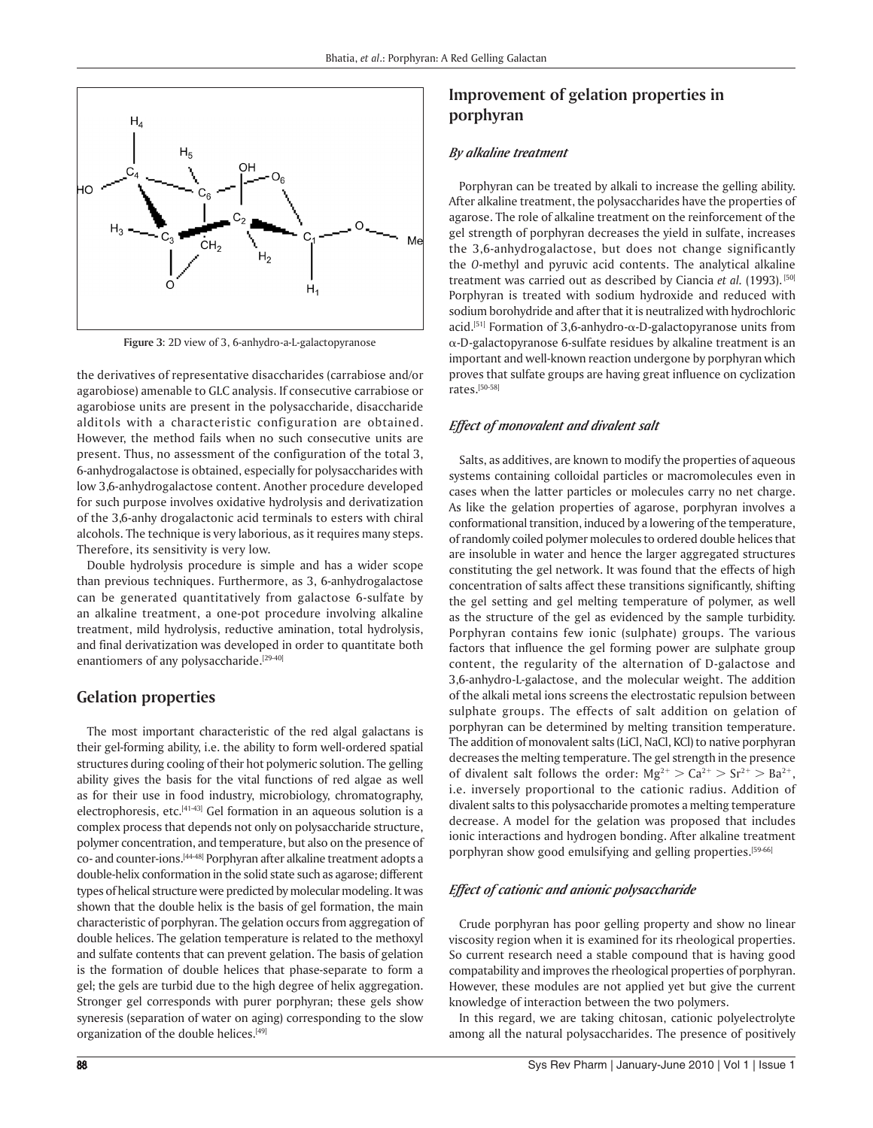

**Figure 3:** 2D view of 3, 6-anhydro-a-L-galactopyranose

the derivatives of representative disaccharides (carrabiose and/or agarobiose) amenable to GLC analysis. If consecutive carrabiose or agarobiose units are present in the polysaccharide, disaccharide alditols with a characteristic configuration are obtained. However, the method fails when no such consecutive units are present. Thus, no assessment of the configuration of the total 3, 6-anhydrogalactose is obtained, especially for polysaccharides with low 3,6-anhydrogalactose content. Another procedure developed for such purpose involves oxidative hydrolysis and derivatization of the 3,6-anhy drogalactonic acid terminals to esters with chiral alcohols. The technique is very laborious, as it requires many steps. Therefore, its sensitivity is very low.

Double hydrolysis procedure is simple and has a wider scope than previous techniques. Furthermore, as 3, 6-anhydrogalactose can be generated quantitatively from galactose 6-sulfate by an alkaline treatment, a one-pot procedure involving alkaline treatment, mild hydrolysis, reductive amination, total hydrolysis, and final derivatization was developed in order to quantitate both enantiomers of any polysaccharide.<sup>[29-40]</sup>

# **Gelation properties**

The most important characteristic of the red algal galactans is their gel-forming ability, i.e. the ability to form well-ordered spatial structures during cooling of their hot polymeric solution. The gelling ability gives the basis for the vital functions of red algae as well as for their use in food industry, microbiology, chromatography, electrophoresis, etc.<sup>[41-43]</sup> Gel formation in an aqueous solution is a complex process that depends not only on polysaccharide structure, polymer concentration, and temperature, but also on the presence of co- and counter-ions.[44-48] Porphyran after alkaline treatment adopts a double-helix conformation in the solid state such as agarose; different types of helical structure were predicted by molecular modeling. It was shown that the double helix is the basis of gel formation, the main characteristic of porphyran. The gelation occurs from aggregation of double helices. The gelation temperature is related to the methoxyl and sulfate contents that can prevent gelation. The basis of gelation is the formation of double helices that phase-separate to form a gel; the gels are turbid due to the high degree of helix aggregation. Stronger gel corresponds with purer porphyran; these gels show syneresis (separation of water on aging) corresponding to the slow organization of the double helices.[49]

# **Improvement of gelation properties in porphyran**

#### *By alkaline treatment*

Porphyran can be treated by alkali to increase the gelling ability. After alkaline treatment, the polysaccharides have the properties of agarose. The role of alkaline treatment on the reinforcement of the gel strength of porphyran decreases the yield in sulfate, increases the 3,6-anhydrogalactose, but does not change significantly the *O*-methyl and pyruvic acid contents. The analytical alkaline treatment was carried out as described by Ciancia *et al.* (1993). [50] Porphyran is treated with sodium hydroxide and reduced with sodium borohydride and after that it is neutralized with hydrochloric acid.<sup>[51]</sup> Formation of 3,6-anhydro- $\alpha$ -D-galactopyranose units from a-D-galactopyranose 6-sulfate residues by alkaline treatment is an important and well-known reaction undergone by porphyran which proves that sulfate groups are having great influence on cyclization rates.[50-58]

#### *Effect of monovalent and divalent salt*

Salts, as additives, are known to modify the properties of aqueous systems containing colloidal particles or macromolecules even in cases when the latter particles or molecules carry no net charge. As like the gelation properties of agarose, porphyran involves a conformational transition, induced by a lowering of the temperature, of randomly coiled polymer molecules to ordered double helices that are insoluble in water and hence the larger aggregated structures constituting the gel network. It was found that the effects of high concentration of salts affect these transitions significantly, shifting the gel setting and gel melting temperature of polymer, as well as the structure of the gel as evidenced by the sample turbidity. Porphyran contains few ionic (sulphate) groups. The various factors that influence the gel forming power are sulphate group content, the regularity of the alternation of D-galactose and 3,6-anhydro-L-galactose, and the molecular weight. The addition of the alkali metal ions screens the electrostatic repulsion between sulphate groups. The effects of salt addition on gelation of porphyran can be determined by melting transition temperature. The addition of monovalent salts (LiCl, NaCl, KCl) to native porphyran decreases the melting temperature. The gel strength in the presence of divalent salt follows the order:  $Mg^{2+} > Ca^{2+} > Sr^{2+} > Ba^{2+}$ , i.e. inversely proportional to the cationic radius. Addition of divalent salts to this polysaccharide promotes a melting temperature decrease. A model for the gelation was proposed that includes ionic interactions and hydrogen bonding. After alkaline treatment porphyran show good emulsifying and gelling properties.<sup>[59-66]</sup>

#### *Effect of cationic and anionic polysaccharide*

Crude porphyran has poor gelling property and show no linear viscosity region when it is examined for its rheological properties. So current research need a stable compound that is having good compatability and improves the rheological properties of porphyran. However, these modules are not applied yet but give the current knowledge of interaction between the two polymers.

In this regard, we are taking chitosan, cationic polyelectrolyte among all the natural polysaccharides. The presence of positively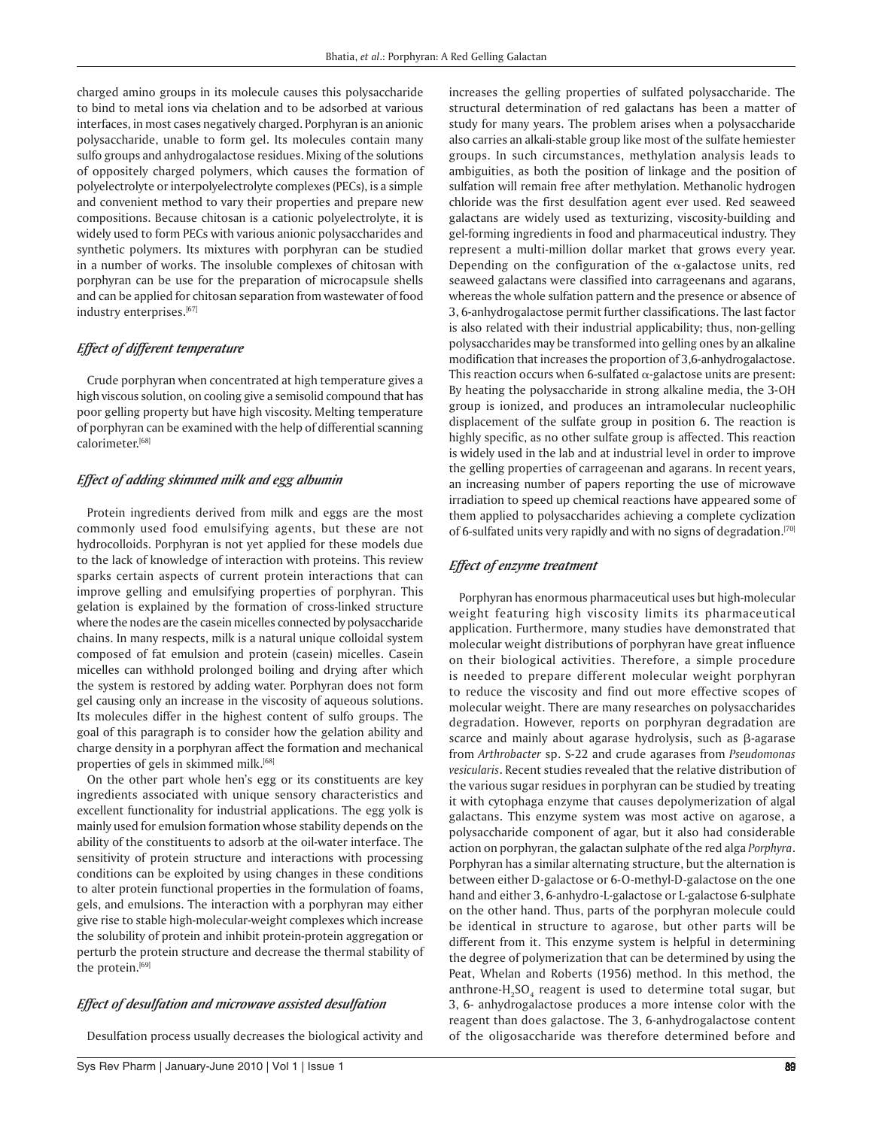charged amino groups in its molecule causes this polysaccharide to bind to metal ions via chelation and to be adsorbed at various interfaces, in most cases negatively charged. Porphyran is an anionic polysaccharide, unable to form gel. Its molecules contain many sulfo groups and anhydrogalactose residues. Mixing of the solutions of oppositely charged polymers, which causes the formation of polyelectrolyte or interpolyelectrolyte complexes (PECs), is a simple and convenient method to vary their properties and prepare new compositions. Because chitosan is a cationic polyelectrolyte, it is widely used to form PECs with various anionic polysaccharides and synthetic polymers. Its mixtures with porphyran can be studied in a number of works. The insoluble complexes of chitosan with porphyran can be use for the preparation of microcapsule shells and can be applied for chitosan separation from wastewater of food industry enterprises.[67]

# *Effect of different temperature*

Crude porphyran when concentrated at high temperature gives a high viscous solution, on cooling give a semisolid compound that has poor gelling property but have high viscosity. Melting temperature of porphyran can be examined with the help of differential scanning calorimeter.[68]

#### *Effect of adding skimmed milk and egg albumin*

Protein ingredients derived from milk and eggs are the most commonly used food emulsifying agents, but these are not hydrocolloids. Porphyran is not yet applied for these models due to the lack of knowledge of interaction with proteins. This review sparks certain aspects of current protein interactions that can improve gelling and emulsifying properties of porphyran. This gelation is explained by the formation of cross-linked structure where the nodes are the casein micelles connected by polysaccharide chains. In many respects, milk is a natural unique colloidal system composed of fat emulsion and protein (casein) micelles. Casein micelles can withhold prolonged boiling and drying after which the system is restored by adding water. Porphyran does not form gel causing only an increase in the viscosity of aqueous solutions. Its molecules differ in the highest content of sulfo groups. The goal of this paragraph is to consider how the gelation ability and charge density in a porphyran affect the formation and mechanical properties of gels in skimmed milk.<sup>[68]</sup>

On the other part whole hen's egg or its constituents are key ingredients associated with unique sensory characteristics and excellent functionality for industrial applications. The egg yolk is mainly used for emulsion formation whose stability depends on the ability of the constituents to adsorb at the oil-water interface. The sensitivity of protein structure and interactions with processing conditions can be exploited by using changes in these conditions to alter protein functional properties in the formulation of foams, gels, and emulsions. The interaction with a porphyran may either give rise to stable high-molecular-weight complexes which increase the solubility of protein and inhibit protein-protein aggregation or perturb the protein structure and decrease the thermal stability of the protein.<sup>[69]</sup>

# *Effect of desulfation and microwave assisted desulfation*

Desulfation process usually decreases the biological activity and

increases the gelling properties of sulfated polysaccharide. The structural determination of red galactans has been a matter of study for many years. The problem arises when a polysaccharide also carries an alkali-stable group like most of the sulfate hemiester groups. In such circumstances, methylation analysis leads to ambiguities, as both the position of linkage and the position of sulfation will remain free after methylation. Methanolic hydrogen chloride was the first desulfation agent ever used. Red seaweed galactans are widely used as texturizing, viscosity-building and gel-forming ingredients in food and pharmaceutical industry. They represent a multi-million dollar market that grows every year. Depending on the configuration of the  $\alpha$ -galactose units, red seaweed galactans were classified into carrageenans and agarans, whereas the whole sulfation pattern and the presence or absence of 3, 6-anhydrogalactose permit further classifications. The last factor is also related with their industrial applicability; thus, non-gelling polysaccharides may be transformed into gelling ones by an alkaline modification that increases the proportion of 3,6-anhydrogalactose. This reaction occurs when 6-sulfated  $\alpha$ -galactose units are present: By heating the polysaccharide in strong alkaline media, the 3-OH group is ionized, and produces an intramolecular nucleophilic displacement of the sulfate group in position 6. The reaction is highly specific, as no other sulfate group is affected. This reaction is widely used in the lab and at industrial level in order to improve the gelling properties of carrageenan and agarans. In recent years, an increasing number of papers reporting the use of microwave irradiation to speed up chemical reactions have appeared some of them applied to polysaccharides achieving a complete cyclization of 6-sulfated units very rapidly and with no signs of degradation.[70]

#### *Effect of enzyme treatment*

Porphyran has enormous pharmaceutical uses but high-molecular weight featuring high viscosity limits its pharmaceutical application. Furthermore, many studies have demonstrated that molecular weight distributions of porphyran have great influence on their biological activities. Therefore, a simple procedure is needed to prepare different molecular weight porphyran to reduce the viscosity and find out more effective scopes of molecular weight. There are many researches on polysaccharides degradation. However, reports on porphyran degradation are scarce and mainly about agarase hydrolysis, such as  $\beta$ -agarase from *Arthrobacter* sp. S-22 and crude agarases from *Pseudomonas vesicularis*. Recent studies revealed that the relative distribution of the various sugar residues in porphyran can be studied by treating it with cytophaga enzyme that causes depolymerization of algal galactans. This enzyme system was most active on agarose, a polysaccharide component of agar, but it also had considerable action on porphyran, the galactan sulphate of the red alga *Porphyra*. Porphyran has a similar alternating structure, but the alternation is between either D-galactose or 6-O-methyl-D-galactose on the one hand and either 3, 6-anhydro-L-galactose or L-galactose 6-sulphate on the other hand. Thus, parts of the porphyran molecule could be identical in structure to agarose, but other parts will be different from it. This enzyme system is helpful in determining the degree of polymerization that can be determined by using the Peat, Whelan and Roberts (1956) method. In this method, the anthrone- ${\rm H_2SO_4}$  reagent is used to determine total sugar, but 3, 6- anhydrogalactose produces a more intense color with the reagent than does galactose. The 3, 6-anhydrogalactose content of the oligosaccharide was therefore determined before and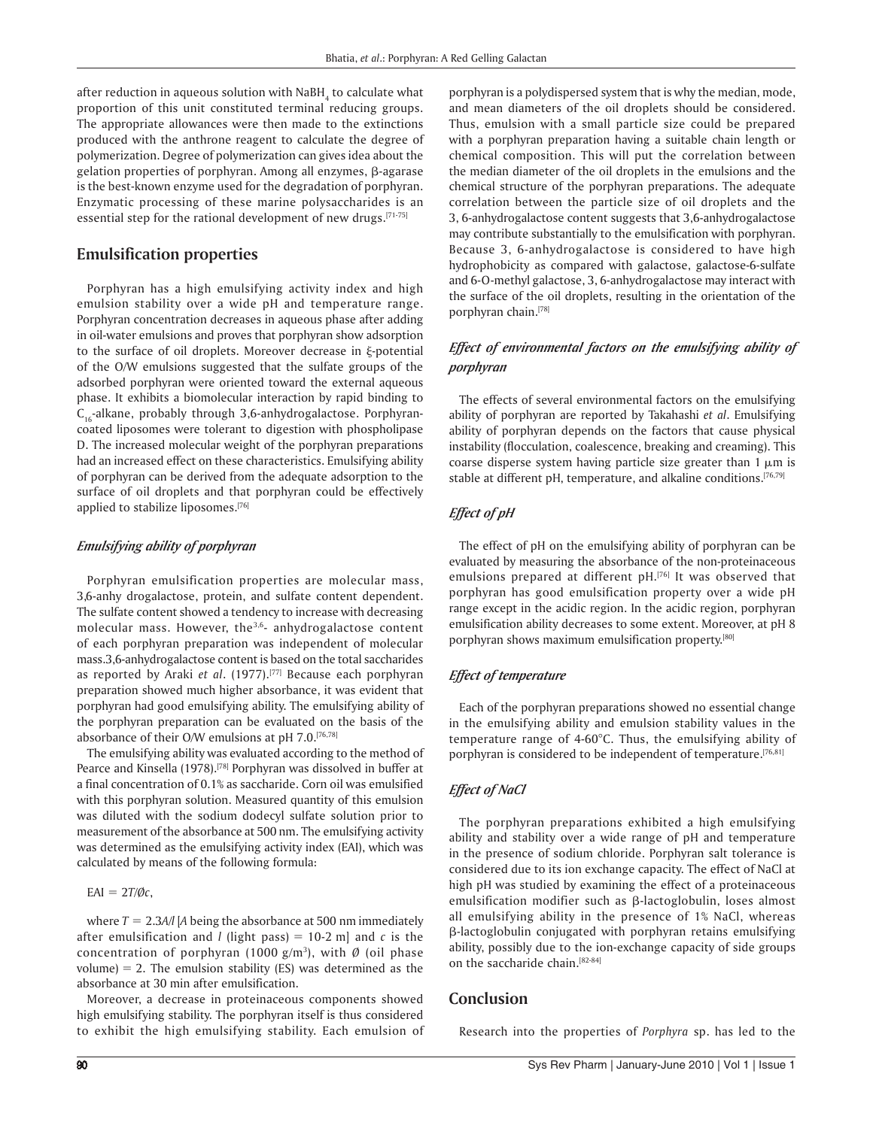after reduction in aqueous solution with  $\mathrm{NaBH}_4$  to calculate what proportion of this unit constituted terminal reducing groups. The appropriate allowances were then made to the extinctions produced with the anthrone reagent to calculate the degree of polymerization. Degree of polymerization can gives idea about the gelation properties of porphyran. Among all enzymes,  $\beta$ -agarase is the best-known enzyme used for the degradation of porphyran. Enzymatic processing of these marine polysaccharides is an essential step for the rational development of new drugs.<sup>[71-75]</sup>

#### **Emulsification properties**

Porphyran has a high emulsifying activity index and high emulsion stability over a wide pH and temperature range. Porphyran concentration decreases in aqueous phase after adding in oil-water emulsions and proves that porphyran show adsorption to the surface of oil droplets. Moreover decrease in  $\xi$ -potential of the O/W emulsions suggested that the sulfate groups of the adsorbed porphyran were oriented toward the external aqueous phase. It exhibits a biomolecular interaction by rapid binding to  $C_{16}$ -alkane, probably through 3,6-anhydrogalactose. Porphyrancoated liposomes were tolerant to digestion with phospholipase D. The increased molecular weight of the porphyran preparations had an increased effect on these characteristics. Emulsifying ability of porphyran can be derived from the adequate adsorption to the surface of oil droplets and that porphyran could be effectively applied to stabilize liposomes.[76]

#### *Emulsifying ability of porphyran*

Porphyran emulsification properties are molecular mass, 3,6-anhy drogalactose, protein, and sulfate content dependent. The sulfate content showed a tendency to increase with decreasing molecular mass. However, the<sup>3,6</sup>- anhydrogalactose content of each porphyran preparation was independent of molecular mass.3,6-anhydrogalactose content is based on the total saccharides as reported by Araki *et al*. (1977).[77] Because each porphyran preparation showed much higher absorbance, it was evident that porphyran had good emulsifying ability. The emulsifying ability of the porphyran preparation can be evaluated on the basis of the absorbance of their O/W emulsions at pH 7.0.<sup>[76,78]</sup>

The emulsifying ability was evaluated according to the method of Pearce and Kinsella (1978).<sup>[78]</sup> Porphyran was dissolved in buffer at a final concentration of 0.1% as saccharide. Corn oil was emulsified with this porphyran solution. Measured quantity of this emulsion was diluted with the sodium dodecyl sulfate solution prior to measurement of the absorbance at 500 nm. The emulsifying activity was determined as the emulsifying activity index (EAI), which was calculated by means of the following formula:

#### $EAI = 2T/\mathcal{O}c$ ,

where  $T = 2.3A/I$  [*A* being the absorbance at 500 nm immediately after emulsification and *l* (light pass) = 10-2 m] and  $c$  is the concentration of porphyran (1000  $g/m^3$ ), with  $\emptyset$  (oil phase volume) = 2. The emulsion stability (ES) was determined as the absorbance at 30 min after emulsification.

Moreover, a decrease in proteinaceous components showed high emulsifying stability. The porphyran itself is thus considered to exhibit the high emulsifying stability. Each emulsion of porphyran is a polydispersed system that is why the median, mode, and mean diameters of the oil droplets should be considered. Thus, emulsion with a small particle size could be prepared with a porphyran preparation having a suitable chain length or chemical composition. This will put the correlation between the median diameter of the oil droplets in the emulsions and the chemical structure of the porphyran preparations. The adequate correlation between the particle size of oil droplets and the 3, 6-anhydrogalactose content suggests that 3,6-anhydrogalactose may contribute substantially to the emulsification with porphyran. Because 3, 6-anhydrogalactose is considered to have high hydrophobicity as compared with galactose, galactose-6-sulfate and 6-O-methyl galactose, 3, 6-anhydrogalactose may interact with the surface of the oil droplets, resulting in the orientation of the porphyran chain.[78]

#### *Effect of environmental factors on the emulsifying ability of porphyran*

The effects of several environmental factors on the emulsifying ability of porphyran are reported by Takahashi *et al*. Emulsifying ability of porphyran depends on the factors that cause physical instability (flocculation, coalescence, breaking and creaming). This coarse disperse system having particle size greater than  $1 \mu m$  is stable at different pH, temperature, and alkaline conditions.<sup>[76,79]</sup>

#### *Effect of pH*

The effect of pH on the emulsifying ability of porphyran can be evaluated by measuring the absorbance of the non-proteinaceous emulsions prepared at different pH.<sup>[76]</sup> It was observed that porphyran has good emulsification property over a wide pH range except in the acidic region. In the acidic region, porphyran emulsification ability decreases to some extent. Moreover, at pH 8 porphyran shows maximum emulsification property.[80]

#### *Effect of temperature*

Each of the porphyran preparations showed no essential change in the emulsifying ability and emulsion stability values in the temperature range of 4-60°C. Thus, the emulsifying ability of porphyran is considered to be independent of temperature.[76,81]

#### *Effect of NaCl*

The porphyran preparations exhibited a high emulsifying ability and stability over a wide range of pH and temperature in the presence of sodium chloride. Porphyran salt tolerance is considered due to its ion exchange capacity. The effect of NaCl at high pH was studied by examining the effect of a proteinaceous emulsification modifier such as  $\beta$ -lactoglobulin, loses almost all emulsifying ability in the presence of 1% NaCl, whereas b-lactoglobulin conjugated with porphyran retains emulsifying ability, possibly due to the ion-exchange capacity of side groups on the saccharide chain.[82-84]

# **Conclusion**

Research into the properties of *Porphyra* sp. has led to the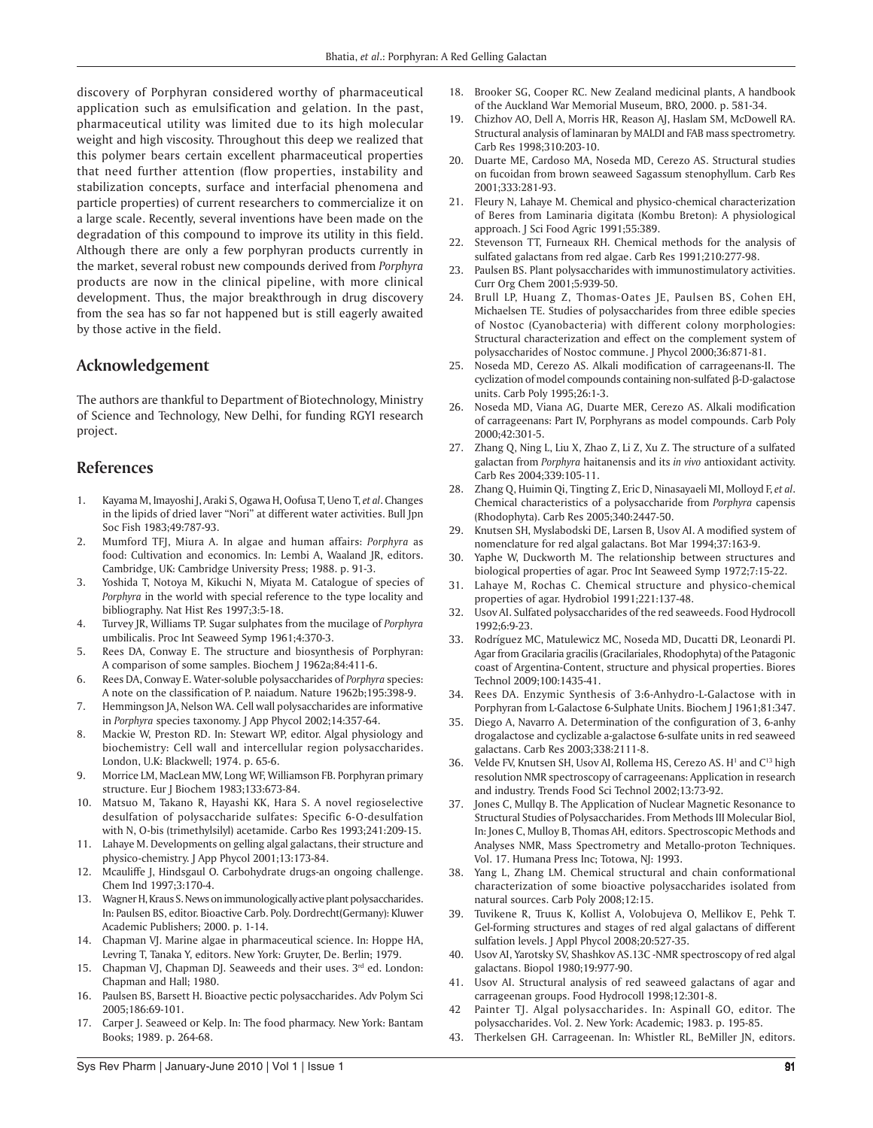discovery of Porphyran considered worthy of pharmaceutical application such as emulsification and gelation. In the past, pharmaceutical utility was limited due to its high molecular weight and high viscosity. Throughout this deep we realized that this polymer bears certain excellent pharmaceutical properties that need further attention (flow properties, instability and stabilization concepts, surface and interfacial phenomena and particle properties) of current researchers to commercialize it on a large scale. Recently, several inventions have been made on the degradation of this compound to improve its utility in this field. Although there are only a few porphyran products currently in the market, several robust new compounds derived from *Porphyra* products are now in the clinical pipeline, with more clinical development. Thus, the major breakthrough in drug discovery from the sea has so far not happened but is still eagerly awaited by those active in the field.

#### **Acknowledgement**

The authors are thankful to Department of Biotechnology, Ministry of Science and Technology, New Delhi, for funding RGYI research project.

#### **References**

- 1. Kayama M, Imayoshi J, Araki S, Ogawa H, Oofusa T, Ueno T, *et al*. Changes in the lipids of dried laver "Nori" at different water activities. Bull Jpn Soc Fish 1983;49:787-93.
- 2. Mumford TFJ, Miura A. In algae and human affairs: *Porphyra* as food: Cultivation and economics. In: Lembi A, Waaland JR, editors. Cambridge, UK: Cambridge University Press; 1988. p. 91-3.
- 3. Yoshida T, Notoya M, Kikuchi N, Miyata M. Catalogue of species of *Porphyra* in the world with special reference to the type locality and bibliography. Nat Hist Res 1997;3:5-18.
- 4. Turvey JR, Williams TP. Sugar sulphates from the mucilage of *Porphyra* umbilicalis. Proc Int Seaweed Symp 1961;4:370-3.
- 5. Rees DA, Conway E. The structure and biosynthesis of Porphyran: A comparison of some samples. Biochem J 1962a;84:411-6.
- 6. Rees DA, Conway E. Water-soluble polysaccharides of *Porphyra* species: A note on the classification of P. naiadum. Nature 1962b;195:398-9.
- 7. Hemmingson JA, Nelson WA. Cell wall polysaccharides are informative in *Porphyra* species taxonomy. J App Phycol 2002;14:357-64.
- 8. Mackie W, Preston RD. In: Stewart WP, editor. Algal physiology and biochemistry: Cell wall and intercellular region polysaccharides. London, U.K: Blackwell; 1974. p. 65-6.
- 9. Morrice LM, MacLean MW, Long WF, Williamson FB. Porphyran primary structure. Eur J Biochem 1983;133:673-84.
- 10. Matsuo M, Takano R, Hayashi KK, Hara S. A novel regioselective desulfation of polysaccharide sulfates: Specific 6-O-desulfation with N, O-bis (trimethylsilyl) acetamide. Carbo Res 1993;241:209-15.
- 11. Lahaye M. Developments on gelling algal galactans, their structure and physico-chemistry. J App Phycol 2001;13:173-84.
- 12. Mcauliffe J, Hindsgaul O. Carbohydrate drugs-an ongoing challenge. Chem Ind 1997;3:170-4.
- 13. Wagner H, Kraus S. News on immunologically active plant polysaccharides. In: Paulsen BS, editor. Bioactive Carb. Poly. Dordrecht(Germany): Kluwer Academic Publishers; 2000. p. 1-14.
- 14. Chapman VJ. Marine algae in pharmaceutical science. In: Hoppe HA, Levring T, Tanaka Y, editors. New York: Gruyter, De. Berlin; 1979.
- 15. Chapman VJ, Chapman DJ. Seaweeds and their uses. 3rd ed. London: Chapman and Hall; 1980.
- 16. Paulsen BS, Barsett H. Bioactive pectic polysaccharides. Adv Polym Sci 2005;186:69-101.
- 17. Carper J. Seaweed or Kelp. In: The food pharmacy. New York: Bantam Books; 1989. p. 264-68.
- 18. Brooker SG, Cooper RC. New Zealand medicinal plants, A handbook of the Auckland War Memorial Museum, BRO, 2000. p. 581-34.
- 19. Chizhov AO, Dell A, Morris HR, Reason AJ, Haslam SM, McDowell RA. Structural analysis of laminaran by MALDI and FAB mass spectrometry. Carb Res 1998;310:203-10.
- 20. Duarte ME, Cardoso MA, Noseda MD, Cerezo AS. Structural studies on fucoidan from brown seaweed Sagassum stenophyllum. Carb Res 2001;333:281-93.
- 21. Fleury N, Lahaye M. Chemical and physico-chemical characterization of Beres from Laminaria digitata (Kombu Breton): A physiological approach. J Sci Food Agric 1991;55:389.
- 22. Stevenson TT, Furneaux RH. Chemical methods for the analysis of sulfated galactans from red algae. Carb Res 1991;210:277-98.
- 23. Paulsen BS. Plant polysaccharides with immunostimulatory activities. Curr Org Chem 2001;5:939-50.
- 24. Brull LP, Huang Z, Thomas-Oates JE, Paulsen BS, Cohen EH, Michaelsen TE. Studies of polysaccharides from three edible species of Nostoc (Cyanobacteria) with different colony morphologies: Structural characterization and effect on the complement system of polysaccharides of Nostoc commune. J Phycol 2000;36:871-81.
- 25. Noseda MD, Cerezo AS. Alkali modification of carrageenans-II. The cyclization of model compounds containing non-sulfated  $\beta$ -D-galactose units. Carb Poly 1995;26:1-3.
- 26. Noseda MD, Viana AG, Duarte MER, Cerezo AS. Alkali modification of carrageenans: Part IV, Porphyrans as model compounds. Carb Poly 2000;42:301-5.
- 27. Zhang Q, Ning L, Liu X, Zhao Z, Li Z, Xu Z. The structure of a sulfated galactan from *Porphyra* haitanensis and its *in vivo* antioxidant activity. Carb Res 2004;339:105-11.
- 28. Zhang Q, Huimin Qi, Tingting Z, Eric D, Ninasayaeli MI, Molloyd F, *et al*. Chemical characteristics of a polysaccharide from *Porphyra* capensis (Rhodophyta). Carb Res 2005;340:2447-50.
- 29. Knutsen SH, Myslabodski DE, Larsen B, Usov AI. A modified system of nomenclature for red algal galactans. Bot Mar 1994;37:163-9.
- 30. Yaphe W, Duckworth M. The relationship between structures and biological properties of agar. Proc Int Seaweed Symp 1972;7:15-22.
- 31. Lahaye M, Rochas C. Chemical structure and physico-chemical properties of agar. Hydrobiol 1991;221:137-48.
- 32. Usov AI. Sulfated polysaccharides of the red seaweeds. Food Hydrocoll 1992;6:9-23.
- 33. Rodríguez MC, Matulewicz MC, Noseda MD, Ducatti DR, Leonardi PI. Agar from Gracilaria gracilis (Gracilariales, Rhodophyta) of the Patagonic coast of Argentina-Content, structure and physical properties. Biores Technol 2009;100:1435-41.
- 34. Rees DA. Enzymic Synthesis of 3:6-Anhydro-L-Galactose with in Porphyran from L-Galactose 6-Sulphate Units. Biochem J 1961;81:347.
- 35. Diego A, Navarro A. Determination of the configuration of 3, 6-anhy drogalactose and cyclizable a-galactose 6-sulfate units in red seaweed galactans. Carb Res 2003;338:2111-8.
- 36. Velde FV, Knutsen SH, Usov AI, Rollema HS, Cerezo AS. H<sup>1</sup> and C<sup>13</sup> high resolution NMR spectroscopy of carrageenans: Application in research and industry. Trends Food Sci Technol 2002;13:73-92.
- 37. Jones C, Mullqy B. The Application of Nuclear Magnetic Resonance to Structural Studies of Polysaccharides. From Methods III Molecular Biol, In: Jones C, Mulloy B, Thomas AH, editors. Spectroscopic Methods and Analyses NMR, Mass Spectrometry and Metallo-proton Techniques. Vol. 17. Humana Press Inc; Totowa, NJ: 1993.
- 38. Yang L, Zhang LM. Chemical structural and chain conformational characterization of some bioactive polysaccharides isolated from natural sources. Carb Poly 2008;12:15.
- 39. Tuvikene R, Truus K, Kollist A, Volobujeva O, Mellikov E, Pehk T. Gel-forming structures and stages of red algal galactans of different sulfation levels. J Appl Phycol 2008;20:527-35.
- Usov AI, Yarotsky SV, Shashkov AS.13C -NMR spectroscopy of red algal galactans. Biopol 1980;19:977-90.
- 41. Usov AI. Structural analysis of red seaweed galactans of agar and carrageenan groups. Food Hydrocoll 1998;12:301-8.
- 42 Painter TJ. Algal polysaccharides. In: Aspinall GO, editor. The polysaccharides. Vol. 2. New York: Academic; 1983. p. 195-85.
- 43. Therkelsen GH. Carrageenan. In: Whistler RL, BeMiller JN, editors.